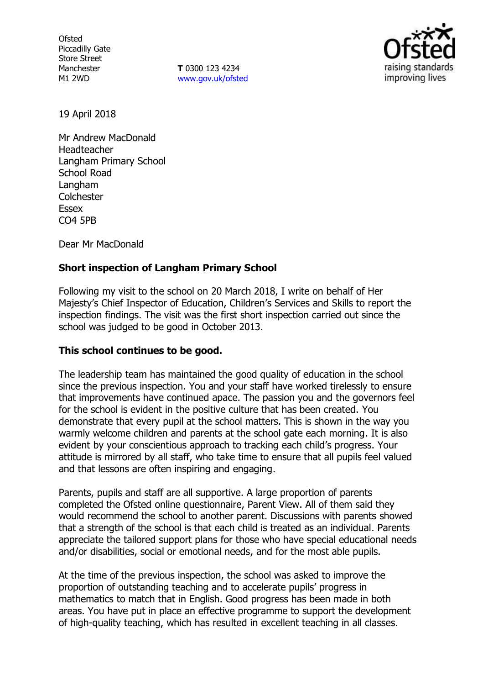**Ofsted** Piccadilly Gate Store Street Manchester M1 2WD

**T** 0300 123 4234 [www.gov.uk/ofsted](http://www.gov.uk/ofsted)



19 April 2018

Mr Andrew MacDonald Headteacher Langham Primary School School Road **Langham Colchester** Essex CO4 5PB

Dear Mr MacDonald

## **Short inspection of Langham Primary School**

Following my visit to the school on 20 March 2018, I write on behalf of Her Majesty's Chief Inspector of Education, Children's Services and Skills to report the inspection findings. The visit was the first short inspection carried out since the school was judged to be good in October 2013.

### **This school continues to be good.**

The leadership team has maintained the good quality of education in the school since the previous inspection. You and your staff have worked tirelessly to ensure that improvements have continued apace. The passion you and the governors feel for the school is evident in the positive culture that has been created. You demonstrate that every pupil at the school matters. This is shown in the way you warmly welcome children and parents at the school gate each morning. It is also evident by your conscientious approach to tracking each child's progress. Your attitude is mirrored by all staff, who take time to ensure that all pupils feel valued and that lessons are often inspiring and engaging.

Parents, pupils and staff are all supportive. A large proportion of parents completed the Ofsted online questionnaire, Parent View. All of them said they would recommend the school to another parent. Discussions with parents showed that a strength of the school is that each child is treated as an individual. Parents appreciate the tailored support plans for those who have special educational needs and/or disabilities, social or emotional needs, and for the most able pupils.

At the time of the previous inspection, the school was asked to improve the proportion of outstanding teaching and to accelerate pupils' progress in mathematics to match that in English. Good progress has been made in both areas. You have put in place an effective programme to support the development of high-quality teaching, which has resulted in excellent teaching in all classes.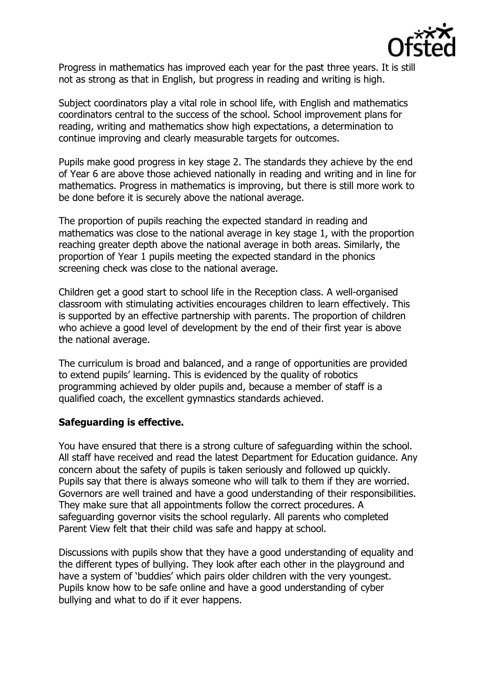

Progress in mathematics has improved each year for the past three years. It is still not as strong as that in English, but progress in reading and writing is high.

Subject coordinators play a vital role in school life, with English and mathematics coordinators central to the success of the school. School improvement plans for reading, writing and mathematics show high expectations, a determination to continue improving and clearly measurable targets for outcomes.

Pupils make good progress in key stage 2. The standards they achieve by the end of Year 6 are above those achieved nationally in reading and writing and in line for mathematics. Progress in mathematics is improving, but there is still more work to be done before it is securely above the national average.

The proportion of pupils reaching the expected standard in reading and mathematics was close to the national average in key stage 1, with the proportion reaching greater depth above the national average in both areas. Similarly, the proportion of Year 1 pupils meeting the expected standard in the phonics screening check was close to the national average.

Children get a good start to school life in the Reception class. A well-organised classroom with stimulating activities encourages children to learn effectively. This is supported by an effective partnership with parents. The proportion of children who achieve a good level of development by the end of their first year is above the national average.

The curriculum is broad and balanced, and a range of opportunities are provided to extend pupils' learning. This is evidenced by the quality of robotics programming achieved by older pupils and, because a member of staff is a qualified coach, the excellent gymnastics standards achieved.

### **Safeguarding is effective.**

You have ensured that there is a strong culture of safeguarding within the school. All staff have received and read the latest Department for Education guidance. Any concern about the safety of pupils is taken seriously and followed up quickly. Pupils say that there is always someone who will talk to them if they are worried. Governors are well trained and have a good understanding of their responsibilities. They make sure that all appointments follow the correct procedures. A safeguarding governor visits the school regularly. All parents who completed Parent View felt that their child was safe and happy at school.

Discussions with pupils show that they have a good understanding of equality and the different types of bullying. They look after each other in the playground and have a system of 'buddies' which pairs older children with the very youngest. Pupils know how to be safe online and have a good understanding of cyber bullying and what to do if it ever happens.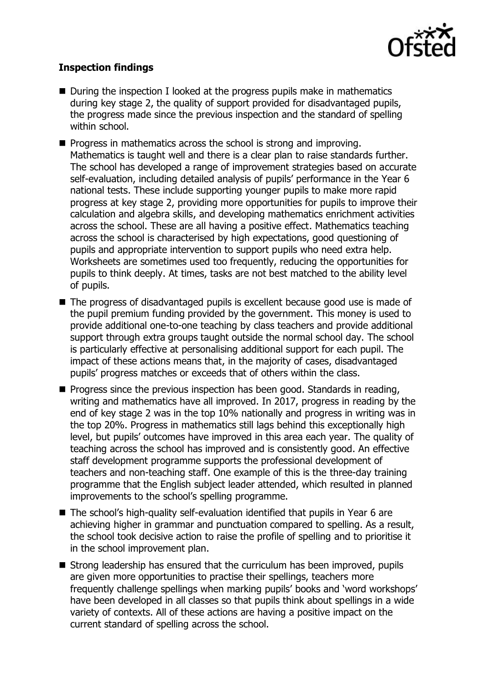

# **Inspection findings**

- During the inspection I looked at the progress pupils make in mathematics during key stage 2, the quality of support provided for disadvantaged pupils, the progress made since the previous inspection and the standard of spelling within school.
- **Progress in mathematics across the school is strong and improving.** Mathematics is taught well and there is a clear plan to raise standards further. The school has developed a range of improvement strategies based on accurate self-evaluation, including detailed analysis of pupils' performance in the Year 6 national tests. These include supporting younger pupils to make more rapid progress at key stage 2, providing more opportunities for pupils to improve their calculation and algebra skills, and developing mathematics enrichment activities across the school. These are all having a positive effect. Mathematics teaching across the school is characterised by high expectations, good questioning of pupils and appropriate intervention to support pupils who need extra help. Worksheets are sometimes used too frequently, reducing the opportunities for pupils to think deeply. At times, tasks are not best matched to the ability level of pupils.
- The progress of disadvantaged pupils is excellent because good use is made of the pupil premium funding provided by the government. This money is used to provide additional one-to-one teaching by class teachers and provide additional support through extra groups taught outside the normal school day. The school is particularly effective at personalising additional support for each pupil. The impact of these actions means that, in the majority of cases, disadvantaged pupils' progress matches or exceeds that of others within the class.
- **Progress since the previous inspection has been good. Standards in reading,** writing and mathematics have all improved. In 2017, progress in reading by the end of key stage 2 was in the top 10% nationally and progress in writing was in the top 20%. Progress in mathematics still lags behind this exceptionally high level, but pupils' outcomes have improved in this area each year. The quality of teaching across the school has improved and is consistently good. An effective staff development programme supports the professional development of teachers and non-teaching staff. One example of this is the three-day training programme that the English subject leader attended, which resulted in planned improvements to the school's spelling programme.
- The school's high-quality self-evaluation identified that pupils in Year 6 are achieving higher in grammar and punctuation compared to spelling. As a result, the school took decisive action to raise the profile of spelling and to prioritise it in the school improvement plan.
- Strong leadership has ensured that the curriculum has been improved, pupils are given more opportunities to practise their spellings, teachers more frequently challenge spellings when marking pupils' books and 'word workshops' have been developed in all classes so that pupils think about spellings in a wide variety of contexts. All of these actions are having a positive impact on the current standard of spelling across the school.